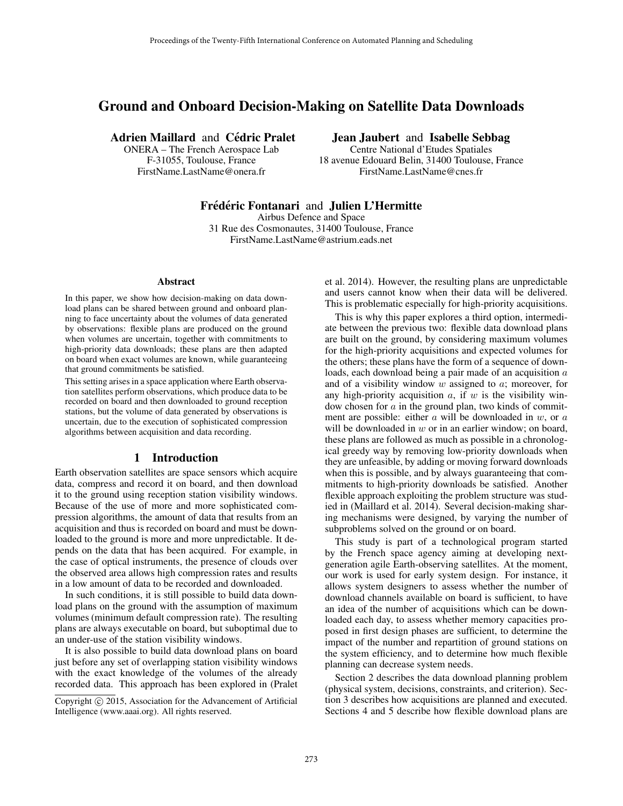# Ground and Onboard Decision-Making on Satellite Data Downloads

Adrien Maillard and Cédric Pralet

ONERA – The French Aerospace Lab F-31055, Toulouse, France FirstName.LastName@onera.fr

Jean Jaubert and Isabelle Sebbag

Centre National d'Etudes Spatiales 18 avenue Edouard Belin, 31400 Toulouse, France FirstName.LastName@cnes.fr

## Frédéric Fontanari and Julien L'Hermitte

Airbus Defence and Space

31 Rue des Cosmonautes, 31400 Toulouse, France FirstName.LastName@astrium.eads.net

#### **Abstract**

In this paper, we show how decision-making on data download plans can be shared between ground and onboard planning to face uncertainty about the volumes of data generated by observations: flexible plans are produced on the ground when volumes are uncertain, together with commitments to high-priority data downloads; these plans are then adapted on board when exact volumes are known, while guaranteeing that ground commitments be satisfied.

This setting arises in a space application where Earth observation satellites perform observations, which produce data to be recorded on board and then downloaded to ground reception stations, but the volume of data generated by observations is uncertain, due to the execution of sophisticated compression algorithms between acquisition and data recording.

### 1 Introduction

Earth observation satellites are space sensors which acquire data, compress and record it on board, and then download it to the ground using reception station visibility windows. Because of the use of more and more sophisticated compression algorithms, the amount of data that results from an acquisition and thus is recorded on board and must be downloaded to the ground is more and more unpredictable. It depends on the data that has been acquired. For example, in the case of optical instruments, the presence of clouds over the observed area allows high compression rates and results in a low amount of data to be recorded and downloaded.

In such conditions, it is still possible to build data download plans on the ground with the assumption of maximum volumes (minimum default compression rate). The resulting plans are always executable on board, but suboptimal due to an under-use of the station visibility windows.

It is also possible to build data download plans on board just before any set of overlapping station visibility windows with the exact knowledge of the volumes of the already recorded data. This approach has been explored in (Pralet et al. 2014). However, the resulting plans are unpredictable and users cannot know when their data will be delivered. This is problematic especially for high-priority acquisitions.

This is why this paper explores a third option, intermediate between the previous two: flexible data download plans are built on the ground, by considering maximum volumes for the high-priority acquisitions and expected volumes for the others; these plans have the form of a sequence of downloads, each download being a pair made of an acquisition a and of a visibility window  $w$  assigned to  $a$ ; moreover, for any high-priority acquisition  $a$ , if  $w$  is the visibility window chosen for  $a$  in the ground plan, two kinds of commitment are possible: either  $a$  will be downloaded in  $w$ , or  $a$ will be downloaded in  $w$  or in an earlier window; on board, these plans are followed as much as possible in a chronological greedy way by removing low-priority downloads when they are unfeasible, by adding or moving forward downloads when this is possible, and by always guaranteeing that commitments to high-priority downloads be satisfied. Another flexible approach exploiting the problem structure was studied in (Maillard et al. 2014). Several decision-making sharing mechanisms were designed, by varying the number of subproblems solved on the ground or on board.

This study is part of a technological program started by the French space agency aiming at developing nextgeneration agile Earth-observing satellites. At the moment, our work is used for early system design. For instance, it allows system designers to assess whether the number of download channels available on board is sufficient, to have an idea of the number of acquisitions which can be downloaded each day, to assess whether memory capacities proposed in first design phases are sufficient, to determine the impact of the number and repartition of ground stations on the system efficiency, and to determine how much flexible planning can decrease system needs.

Section 2 describes the data download planning problem (physical system, decisions, constraints, and criterion). Section 3 describes how acquisitions are planned and executed. Sections 4 and 5 describe how flexible download plans are

Copyright  $\odot$  2015, Association for the Advancement of Artificial Intelligence (www.aaai.org). All rights reserved.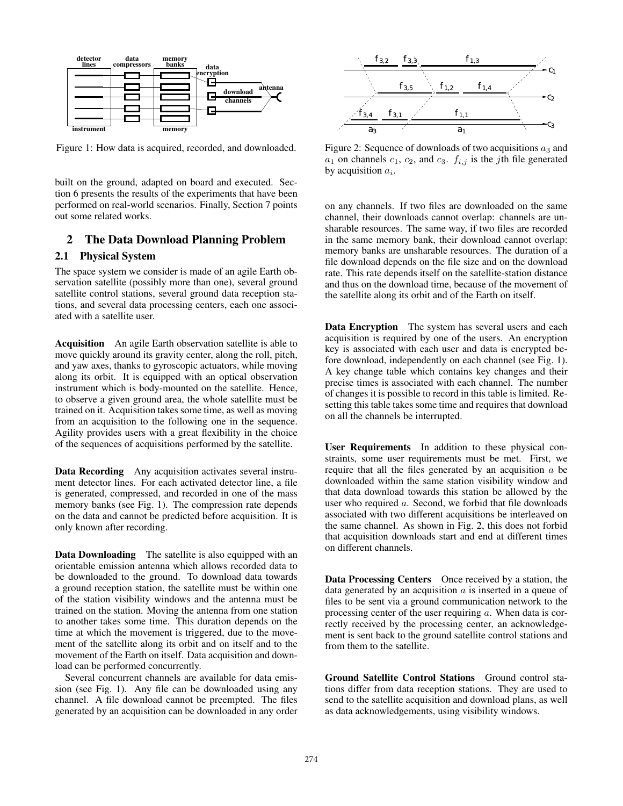

Figure 1: How data is acquired, recorded, and downloaded.

built on the ground, adapted on board and executed. Section 6 presents the results of the experiments that have been performed on real-world scenarios. Finally, Section 7 points out some related works.

### 2 The Data Download Planning Problem

#### 2.1 Physical System

The space system we consider is made of an agile Earth observation satellite (possibly more than one), several ground satellite control stations, several ground data reception stations, and several data processing centers, each one associated with a satellite user.

Acquisition An agile Earth observation satellite is able to move quickly around its gravity center, along the roll, pitch, and yaw axes, thanks to gyroscopic actuators, while moving along its orbit. It is equipped with an optical observation instrument which is body-mounted on the satellite. Hence, to observe a given ground area, the whole satellite must be trained on it. Acquisition takes some time, as well as moving from an acquisition to the following one in the sequence. Agility provides users with a great flexibility in the choice of the sequences of acquisitions performed by the satellite.

Data Recording Any acquisition activates several instrument detector lines. For each activated detector line, a file is generated, compressed, and recorded in one of the mass memory banks (see Fig. 1). The compression rate depends on the data and cannot be predicted before acquisition. It is only known after recording.

Data Downloading The satellite is also equipped with an orientable emission antenna which allows recorded data to be downloaded to the ground. To download data towards a ground reception station, the satellite must be within one of the station visibility windows and the antenna must be trained on the station. Moving the antenna from one station to another takes some time. This duration depends on the time at which the movement is triggered, due to the movement of the satellite along its orbit and on itself and to the movement of the Earth on itself. Data acquisition and download can be performed concurrently.

Several concurrent channels are available for data emission (see Fig. 1). Any file can be downloaded using any channel. A file download cannot be preempted. The files generated by an acquisition can be downloaded in any order



Figure 2: Sequence of downloads of two acquisitions  $a_3$  and  $a_1$  on channels  $c_1$ ,  $c_2$ , and  $c_3$ .  $f_{i,j}$  is the *j*th file generated by acquisition  $a_i$ .

on any channels. If two files are downloaded on the same channel, their downloads cannot overlap: channels are unsharable resources. The same way, if two files are recorded in the same memory bank, their download cannot overlap: memory banks are unsharable resources. The duration of a file download depends on the file size and on the download rate. This rate depends itself on the satellite-station distance and thus on the download time, because of the movement of the satellite along its orbit and of the Earth on itself.

Data Encryption The system has several users and each acquisition is required by one of the users. An encryption key is associated with each user and data is encrypted before download, independently on each channel (see Fig. 1). A key change table which contains key changes and their precise times is associated with each channel. The number of changes it is possible to record in this table is limited. Resetting this table takes some time and requires that download on all the channels be interrupted.

User Requirements In addition to these physical constraints, some user requirements must be met. First, we require that all the files generated by an acquisition  $a$  be downloaded within the same station visibility window and that data download towards this station be allowed by the user who required a. Second, we forbid that file downloads associated with two different acquisitions be interleaved on the same channel. As shown in Fig. 2, this does not forbid that acquisition downloads start and end at different times on different channels.

Data Processing Centers Once received by a station, the data generated by an acquisition  $\alpha$  is inserted in a queue of files to be sent via a ground communication network to the processing center of the user requiring a. When data is correctly received by the processing center, an acknowledgement is sent back to the ground satellite control stations and from them to the satellite.

Ground Satellite Control Stations Ground control stations differ from data reception stations. They are used to send to the satellite acquisition and download plans, as well as data acknowledgements, using visibility windows.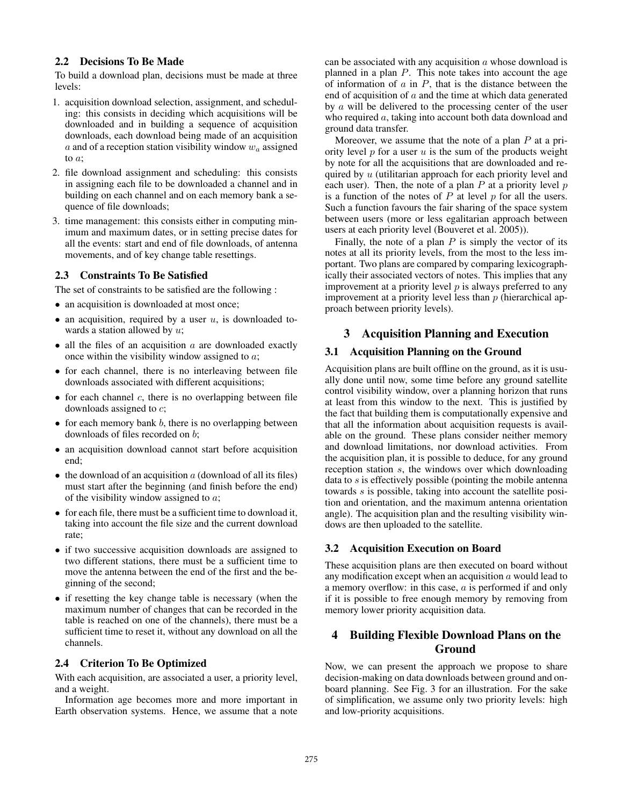### 2.2 Decisions To Be Made

To build a download plan, decisions must be made at three levels:

- 1. acquisition download selection, assignment, and scheduling: this consists in deciding which acquisitions will be downloaded and in building a sequence of acquisition downloads, each download being made of an acquisition a and of a reception station visibility window  $w_a$  assigned to a;
- 2. file download assignment and scheduling: this consists in assigning each file to be downloaded a channel and in building on each channel and on each memory bank a sequence of file downloads;
- 3. time management: this consists either in computing minimum and maximum dates, or in setting precise dates for all the events: start and end of file downloads, of antenna movements, and of key change table resettings.

### 2.3 Constraints To Be Satisfied

The set of constraints to be satisfied are the following :

- an acquisition is downloaded at most once;
- an acquisition, required by a user  $u$ , is downloaded towards a station allowed by  $u$ ;
- all the files of an acquisition  $a$  are downloaded exactly once within the visibility window assigned to a;
- for each channel, there is no interleaving between file downloads associated with different acquisitions;
- for each channel  $c$ , there is no overlapping between file downloads assigned to c;
- $\bullet$  for each memory bank  $b$ , there is no overlapping between downloads of files recorded on b;
- an acquisition download cannot start before acquisition end;
- $\bullet$  the download of an acquisition a (download of all its files) must start after the beginning (and finish before the end) of the visibility window assigned to  $a$ ;
- for each file, there must be a sufficient time to download it, taking into account the file size and the current download rate;
- if two successive acquisition downloads are assigned to two different stations, there must be a sufficient time to move the antenna between the end of the first and the beginning of the second;
- if resetting the key change table is necessary (when the maximum number of changes that can be recorded in the table is reached on one of the channels), there must be a sufficient time to reset it, without any download on all the channels.

### 2.4 Criterion To Be Optimized

With each acquisition, are associated a user, a priority level, and a weight.

Information age becomes more and more important in Earth observation systems. Hence, we assume that a note

can be associated with any acquisition  $\alpha$  whose download is planned in a plan  $P$ . This note takes into account the age of information of  $a$  in  $P$ , that is the distance between the end of acquisition of  $a$  and the time at which data generated by a will be delivered to the processing center of the user who required a, taking into account both data download and ground data transfer.

Moreover, we assume that the note of a plan  $P$  at a priority level  $p$  for a user  $u$  is the sum of the products weight by note for all the acquisitions that are downloaded and required by  $u$  (utilitarian approach for each priority level and each user). Then, the note of a plan  $P$  at a priority level  $p$ is a function of the notes of  $P$  at level  $p$  for all the users. Such a function favours the fair sharing of the space system between users (more or less egalitarian approach between users at each priority level (Bouveret et al. 2005)).

Finally, the note of a plan  $P$  is simply the vector of its notes at all its priority levels, from the most to the less important. Two plans are compared by comparing lexicographically their associated vectors of notes. This implies that any improvement at a priority level  $p$  is always preferred to any improvement at a priority level less than  $p$  (hierarchical approach between priority levels).

# 3 Acquisition Planning and Execution

### 3.1 Acquisition Planning on the Ground

Acquisition plans are built offline on the ground, as it is usually done until now, some time before any ground satellite control visibility window, over a planning horizon that runs at least from this window to the next. This is justified by the fact that building them is computationally expensive and that all the information about acquisition requests is available on the ground. These plans consider neither memory and download limitations, nor download activities. From the acquisition plan, it is possible to deduce, for any ground reception station s, the windows over which downloading data to s is effectively possible (pointing the mobile antenna towards s is possible, taking into account the satellite position and orientation, and the maximum antenna orientation angle). The acquisition plan and the resulting visibility windows are then uploaded to the satellite.

### 3.2 Acquisition Execution on Board

These acquisition plans are then executed on board without any modification except when an acquisition  $a$  would lead to a memory overflow: in this case, a is performed if and only if it is possible to free enough memory by removing from memory lower priority acquisition data.

# 4 Building Flexible Download Plans on the Ground

Now, we can present the approach we propose to share decision-making on data downloads between ground and onboard planning. See Fig. 3 for an illustration. For the sake of simplification, we assume only two priority levels: high and low-priority acquisitions.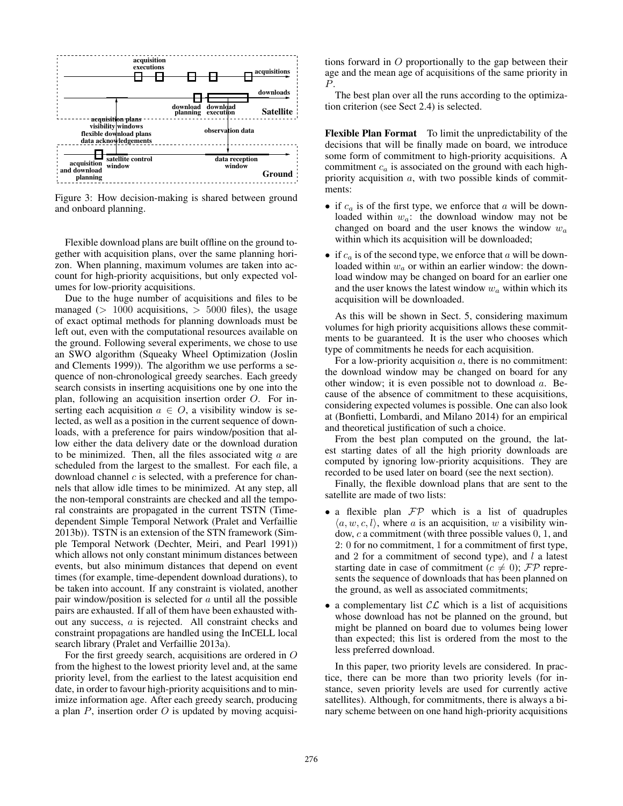

Figure 3: How decision-making is shared between ground and onboard planning.

Flexible download plans are built offline on the ground together with acquisition plans, over the same planning horizon. When planning, maximum volumes are taken into account for high-priority acquisitions, but only expected volumes for low-priority acquisitions.

Due to the huge number of acquisitions and files to be managed ( $> 1000$  acquisitions,  $> 5000$  files), the usage of exact optimal methods for planning downloads must be left out, even with the computational resources available on the ground. Following several experiments, we chose to use an SWO algorithm (Squeaky Wheel Optimization (Joslin and Clements 1999)). The algorithm we use performs a sequence of non-chronological greedy searches. Each greedy search consists in inserting acquisitions one by one into the plan, following an acquisition insertion order O. For inserting each acquisition  $a \in O$ , a visibility window is selected, as well as a position in the current sequence of downloads, with a preference for pairs window/position that allow either the data delivery date or the download duration to be minimized. Then, all the files associated witg  $a$  are scheduled from the largest to the smallest. For each file, a download channel  $c$  is selected, with a preference for channels that allow idle times to be minimized. At any step, all the non-temporal constraints are checked and all the temporal constraints are propagated in the current TSTN (Timedependent Simple Temporal Network (Pralet and Verfaillie 2013b)). TSTN is an extension of the STN framework (Simple Temporal Network (Dechter, Meiri, and Pearl 1991)) which allows not only constant minimum distances between events, but also minimum distances that depend on event times (for example, time-dependent download durations), to be taken into account. If any constraint is violated, another pair window/position is selected for  $a$  until all the possible pairs are exhausted. If all of them have been exhausted without any success, a is rejected. All constraint checks and constraint propagations are handled using the InCELL local search library (Pralet and Verfaillie 2013a).

For the first greedy search, acquisitions are ordered in O from the highest to the lowest priority level and, at the same priority level, from the earliest to the latest acquisition end date, in order to favour high-priority acquisitions and to minimize information age. After each greedy search, producing a plan  $P$ , insertion order  $O$  is updated by moving acquisi-

tions forward in  $O$  proportionally to the gap between their age and the mean age of acquisitions of the same priority in P.

The best plan over all the runs according to the optimization criterion (see Sect 2.4) is selected.

Flexible Plan Format To limit the unpredictability of the decisions that will be finally made on board, we introduce some form of commitment to high-priority acquisitions. A commitment  $c_a$  is associated on the ground with each highpriority acquisition a, with two possible kinds of commitments:

- if  $c_a$  is of the first type, we enforce that a will be downloaded within  $w_a$ : the download window may not be changed on board and the user knows the window  $w_a$ within which its acquisition will be downloaded;
- if  $c_a$  is of the second type, we enforce that a will be downloaded within  $w_a$  or within an earlier window: the download window may be changed on board for an earlier one and the user knows the latest window  $w_a$  within which its acquisition will be downloaded.

As this will be shown in Sect. 5, considering maximum volumes for high priority acquisitions allows these commitments to be guaranteed. It is the user who chooses which type of commitments he needs for each acquisition.

For a low-priority acquisition  $a$ , there is no commitment: the download window may be changed on board for any other window; it is even possible not to download a. Because of the absence of commitment to these acquisitions, considering expected volumes is possible. One can also look at (Bonfietti, Lombardi, and Milano 2014) for an empirical and theoretical justification of such a choice.

From the best plan computed on the ground, the latest starting dates of all the high priority downloads are computed by ignoring low-priority acquisitions. They are recorded to be used later on board (see the next section).

Finally, the flexible download plans that are sent to the satellite are made of two lists:

- a flexible plan  $\mathcal{FP}$  which is a list of quadruples  $\langle a, w, c, l \rangle$ , where a is an acquisition, w a visibility window, c a commitment (with three possible values 0, 1, and 2: 0 for no commitment, 1 for a commitment of first type, and 2 for a commitment of second type), and  $l$  a latest starting date in case of commitment ( $c \neq 0$ );  $\mathcal{FP}$  represents the sequence of downloads that has been planned on the ground, as well as associated commitments;
- a complementary list  $CL$  which is a list of acquisitions whose download has not be planned on the ground, but might be planned on board due to volumes being lower than expected; this list is ordered from the most to the less preferred download.

In this paper, two priority levels are considered. In practice, there can be more than two priority levels (for instance, seven priority levels are used for currently active satellites). Although, for commitments, there is always a binary scheme between on one hand high-priority acquisitions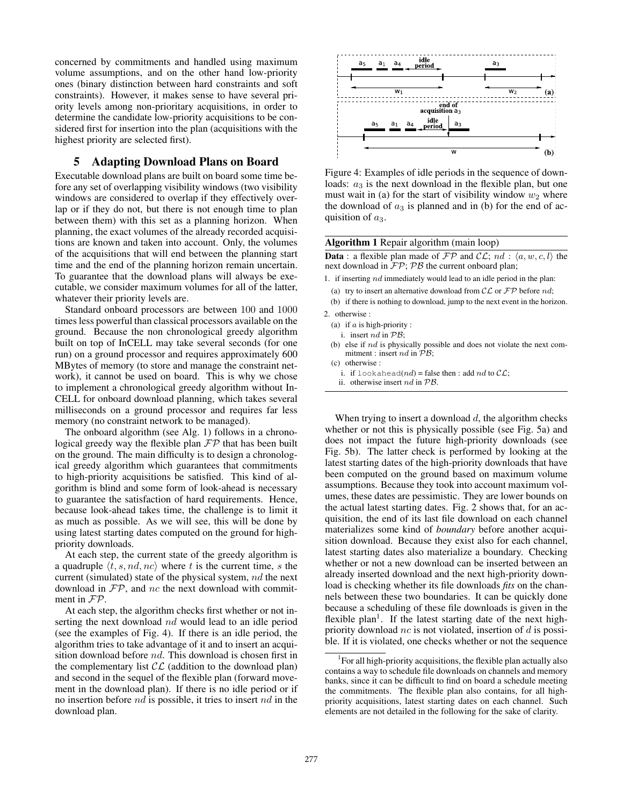concerned by commitments and handled using maximum volume assumptions, and on the other hand low-priority ones (binary distinction between hard constraints and soft constraints). However, it makes sense to have several priority levels among non-prioritary acquisitions, in order to determine the candidate low-priority acquisitions to be considered first for insertion into the plan (acquisitions with the highest priority are selected first).

# 5 Adapting Download Plans on Board

Executable download plans are built on board some time before any set of overlapping visibility windows (two visibility windows are considered to overlap if they effectively overlap or if they do not, but there is not enough time to plan between them) with this set as a planning horizon. When planning, the exact volumes of the already recorded acquisitions are known and taken into account. Only, the volumes of the acquisitions that will end between the planning start time and the end of the planning horizon remain uncertain. To guarantee that the download plans will always be executable, we consider maximum volumes for all of the latter, whatever their priority levels are.

Standard onboard processors are between 100 and 1000 times less powerful than classical processors available on the ground. Because the non chronological greedy algorithm built on top of InCELL may take several seconds (for one run) on a ground processor and requires approximately 600 MBytes of memory (to store and manage the constraint network), it cannot be used on board. This is why we chose to implement a chronological greedy algorithm without In-CELL for onboard download planning, which takes several milliseconds on a ground processor and requires far less memory (no constraint network to be managed).

The onboard algorithm (see Alg. 1) follows in a chronological greedy way the flexible plan  $\mathcal{FP}$  that has been built on the ground. The main difficulty is to design a chronological greedy algorithm which guarantees that commitments to high-priority acquisitions be satisfied. This kind of algorithm is blind and some form of look-ahead is necessary to guarantee the satisfaction of hard requirements. Hence, because look-ahead takes time, the challenge is to limit it as much as possible. As we will see, this will be done by using latest starting dates computed on the ground for highpriority downloads.

At each step, the current state of the greedy algorithm is a quadruple  $\langle t, s, nd, nc \rangle$  where t is the current time, s the current (simulated) state of the physical system, nd the next download in  $\mathcal{FP}$ , and nc the next download with commitment in FP.

At each step, the algorithm checks first whether or not inserting the next download nd would lead to an idle period (see the examples of Fig. 4). If there is an idle period, the algorithm tries to take advantage of it and to insert an acquisition download before nd. This download is chosen first in the complementary list  $CL$  (addition to the download plan) and second in the sequel of the flexible plan (forward movement in the download plan). If there is no idle period or if no insertion before nd is possible, it tries to insert nd in the download plan.



Figure 4: Examples of idle periods in the sequence of downloads:  $a_3$  is the next download in the flexible plan, but one must wait in (a) for the start of visibility window  $w_2$  where the download of  $a_3$  is planned and in (b) for the end of acquisition of  $a_3$ .

#### Algorithm 1 Repair algorithm (main loop)

**Data** : a flexible plan made of  $\mathcal{FP}$  and  $\mathcal{CL}$ ;  $nd$  :  $\langle a, w, c, l \rangle$  the next download in  $\mathcal{FP}; \mathcal{PB}$  the current onboard plan;

- 1. if inserting  $nd$  immediately would lead to an idle period in the plan:
- (a) try to insert an alternative download from  $CL$  or  $FP$  before nd;
- (b) if there is nothing to download, jump to the next event in the horizon. 2. otherwise :
- (a) if  $a$  is high-priority :
	- i. insert  $nd$  in  $PB$ ;
	-
- (b) else if nd is physically possible and does not violate the next commitment : insert nd in  $\overrightarrow{PB}$ ;
- (c) otherwise :
	- i. if lookahead( $nd$ ) = false then : add  $nd$  to  $CL$ ;
- ii. otherwise insert nd in PB.

When trying to insert a download  $d$ , the algorithm checks whether or not this is physically possible (see Fig. 5a) and does not impact the future high-priority downloads (see Fig. 5b). The latter check is performed by looking at the latest starting dates of the high-priority downloads that have been computed on the ground based on maximum volume assumptions. Because they took into account maximum volumes, these dates are pessimistic. They are lower bounds on the actual latest starting dates. Fig. 2 shows that, for an acquisition, the end of its last file download on each channel materializes some kind of *boundary* before another acquisition download. Because they exist also for each channel, latest starting dates also materialize a boundary. Checking whether or not a new download can be inserted between an already inserted download and the next high-priority download is checking whether its file downloads *fits* on the channels between these two boundaries. It can be quickly done because a scheduling of these file downloads is given in the flexible plan<sup>1</sup>. If the latest starting date of the next highpriority download  $nc$  is not violated, insertion of d is possible. If it is violated, one checks whether or not the sequence

<sup>&</sup>lt;sup>1</sup>For all high-priority acquisitions, the flexible plan actually also contains a way to schedule file downloads on channels and memory banks, since it can be difficult to find on board a schedule meeting the commitments. The flexible plan also contains, for all highpriority acquisitions, latest starting dates on each channel. Such elements are not detailed in the following for the sake of clarity.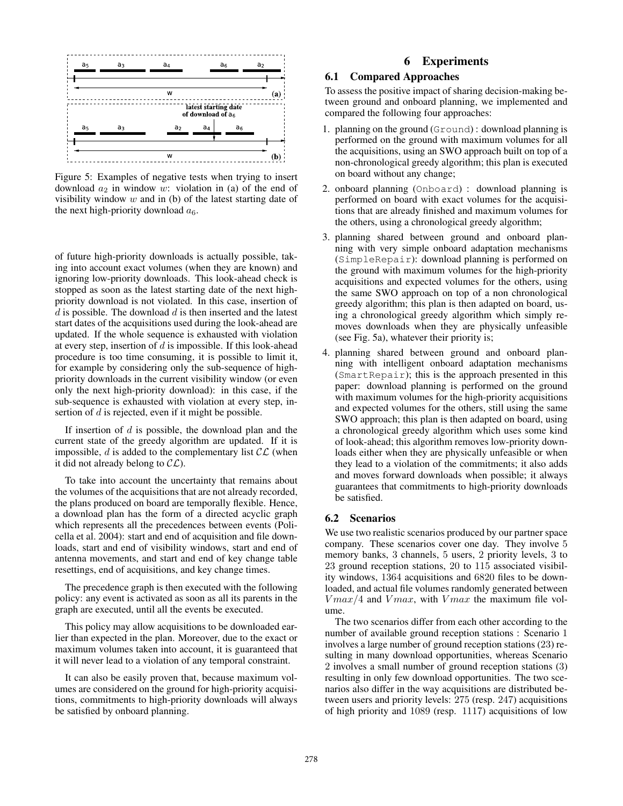

Figure 5: Examples of negative tests when trying to insert download  $a_2$  in window w: violation in (a) of the end of visibility window  $w$  and in (b) of the latest starting date of the next high-priority download  $a_6$ .

of future high-priority downloads is actually possible, taking into account exact volumes (when they are known) and ignoring low-priority downloads. This look-ahead check is stopped as soon as the latest starting date of the next highpriority download is not violated. In this case, insertion of  $d$  is possible. The download  $d$  is then inserted and the latest start dates of the acquisitions used during the look-ahead are updated. If the whole sequence is exhausted with violation at every step, insertion of  $d$  is impossible. If this look-ahead procedure is too time consuming, it is possible to limit it, for example by considering only the sub-sequence of highpriority downloads in the current visibility window (or even only the next high-priority download): in this case, if the sub-sequence is exhausted with violation at every step, insertion of d is rejected, even if it might be possible.

If insertion of  $d$  is possible, the download plan and the current state of the greedy algorithm are updated. If it is impossible,  $d$  is added to the complementary list  $\mathcal{CL}$  (when it did not already belong to  $CL$ ).

To take into account the uncertainty that remains about the volumes of the acquisitions that are not already recorded, the plans produced on board are temporally flexible. Hence, a download plan has the form of a directed acyclic graph which represents all the precedences between events (Policella et al. 2004): start and end of acquisition and file downloads, start and end of visibility windows, start and end of antenna movements, and start and end of key change table resettings, end of acquisitions, and key change times.

The precedence graph is then executed with the following policy: any event is activated as soon as all its parents in the graph are executed, until all the events be executed.

This policy may allow acquisitions to be downloaded earlier than expected in the plan. Moreover, due to the exact or maximum volumes taken into account, it is guaranteed that it will never lead to a violation of any temporal constraint.

It can also be easily proven that, because maximum volumes are considered on the ground for high-priority acquisitions, commitments to high-priority downloads will always be satisfied by onboard planning.

# 6 Experiments

### 6.1 Compared Approaches

To assess the positive impact of sharing decision-making between ground and onboard planning, we implemented and compared the following four approaches:

- 1. planning on the ground (Ground) : download planning is performed on the ground with maximum volumes for all the acquisitions, using an SWO approach built on top of a non-chronological greedy algorithm; this plan is executed on board without any change;
- 2. onboard planning (Onboard) : download planning is performed on board with exact volumes for the acquisitions that are already finished and maximum volumes for the others, using a chronological greedy algorithm;
- 3. planning shared between ground and onboard planning with very simple onboard adaptation mechanisms (SimpleRepair): download planning is performed on the ground with maximum volumes for the high-priority acquisitions and expected volumes for the others, using the same SWO approach on top of a non chronological greedy algorithm; this plan is then adapted on board, using a chronological greedy algorithm which simply removes downloads when they are physically unfeasible (see Fig. 5a), whatever their priority is;
- 4. planning shared between ground and onboard planning with intelligent onboard adaptation mechanisms (SmartRepair); this is the approach presented in this paper: download planning is performed on the ground with maximum volumes for the high-priority acquisitions and expected volumes for the others, still using the same SWO approach; this plan is then adapted on board, using a chronological greedy algorithm which uses some kind of look-ahead; this algorithm removes low-priority downloads either when they are physically unfeasible or when they lead to a violation of the commitments; it also adds and moves forward downloads when possible; it always guarantees that commitments to high-priority downloads be satisfied.

### 6.2 Scenarios

We use two realistic scenarios produced by our partner space company. These scenarios cover one day. They involve 5 memory banks, 3 channels, 5 users, 2 priority levels, 3 to 23 ground reception stations, 20 to 115 associated visibility windows, 1364 acquisitions and 6820 files to be downloaded, and actual file volumes randomly generated between  $V$ *max*/4 and  $V$ *max*, with  $V$ *max* the maximum file volume.

The two scenarios differ from each other according to the number of available ground reception stations : Scenario 1 involves a large number of ground reception stations (23) resulting in many download opportunities, whereas Scenario 2 involves a small number of ground reception stations (3) resulting in only few download opportunities. The two scenarios also differ in the way acquisitions are distributed between users and priority levels: 275 (resp. 247) acquisitions of high priority and 1089 (resp. 1117) acquisitions of low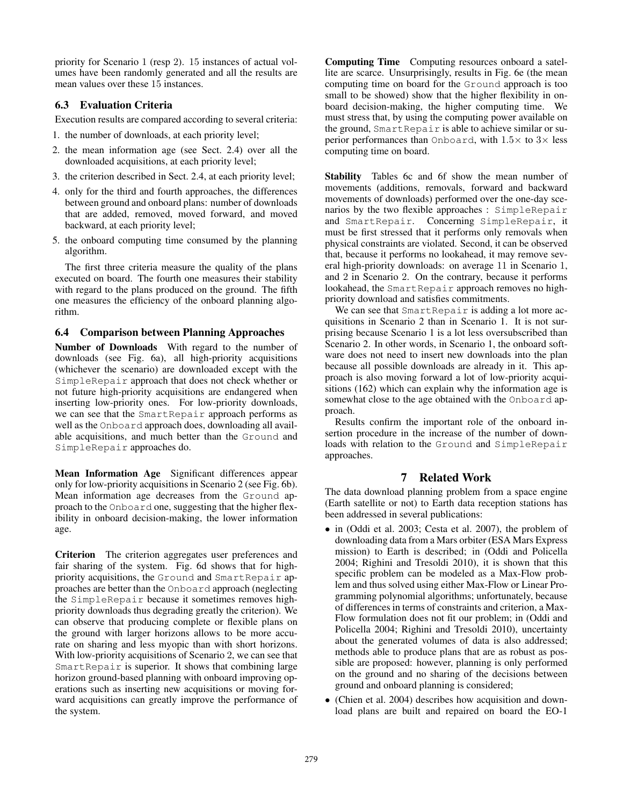priority for Scenario 1 (resp 2). 15 instances of actual volumes have been randomly generated and all the results are mean values over these 15 instances.

## 6.3 Evaluation Criteria

Execution results are compared according to several criteria:

- 1. the number of downloads, at each priority level;
- 2. the mean information age (see Sect. 2.4) over all the downloaded acquisitions, at each priority level;
- 3. the criterion described in Sect. 2.4, at each priority level;
- 4. only for the third and fourth approaches, the differences between ground and onboard plans: number of downloads that are added, removed, moved forward, and moved backward, at each priority level;
- 5. the onboard computing time consumed by the planning algorithm.

The first three criteria measure the quality of the plans executed on board. The fourth one measures their stability with regard to the plans produced on the ground. The fifth one measures the efficiency of the onboard planning algorithm.

# 6.4 Comparison between Planning Approaches

Number of Downloads With regard to the number of downloads (see Fig. 6a), all high-priority acquisitions (whichever the scenario) are downloaded except with the SimpleRepair approach that does not check whether or not future high-priority acquisitions are endangered when inserting low-priority ones. For low-priority downloads, we can see that the SmartRepair approach performs as well as the Onboard approach does, downloading all available acquisitions, and much better than the Ground and SimpleRepair approaches do.

Mean Information Age Significant differences appear only for low-priority acquisitions in Scenario 2 (see Fig. 6b). Mean information age decreases from the Ground approach to the Onboard one, suggesting that the higher flexibility in onboard decision-making, the lower information age.

Criterion The criterion aggregates user preferences and fair sharing of the system. Fig. 6d shows that for highpriority acquisitions, the Ground and SmartRepair approaches are better than the Onboard approach (neglecting the SimpleRepair because it sometimes removes highpriority downloads thus degrading greatly the criterion). We can observe that producing complete or flexible plans on the ground with larger horizons allows to be more accurate on sharing and less myopic than with short horizons. With low-priority acquisitions of Scenario 2, we can see that SmartRepair is superior. It shows that combining large horizon ground-based planning with onboard improving operations such as inserting new acquisitions or moving forward acquisitions can greatly improve the performance of the system.

Computing Time Computing resources onboard a satellite are scarce. Unsurprisingly, results in Fig. 6e (the mean computing time on board for the Ground approach is too small to be showed) show that the higher flexibility in onboard decision-making, the higher computing time. We must stress that, by using the computing power available on the ground, SmartRepair is able to achieve similar or superior performances than Onboard, with  $1.5\times$  to  $3\times$  less computing time on board.

Stability Tables 6c and 6f show the mean number of movements (additions, removals, forward and backward movements of downloads) performed over the one-day scenarios by the two flexible approaches : SimpleRepair and SmartRepair. Concerning SimpleRepair, it must be first stressed that it performs only removals when physical constraints are violated. Second, it can be observed that, because it performs no lookahead, it may remove several high-priority downloads: on average 11 in Scenario 1, and 2 in Scenario 2. On the contrary, because it performs lookahead, the SmartRepair approach removes no highpriority download and satisfies commitments.

We can see that SmartRepair is adding a lot more acquisitions in Scenario 2 than in Scenario 1. It is not surprising because Scenario 1 is a lot less oversubscribed than Scenario 2. In other words, in Scenario 1, the onboard software does not need to insert new downloads into the plan because all possible downloads are already in it. This approach is also moving forward a lot of low-priority acquisitions (162) which can explain why the information age is somewhat close to the age obtained with the Onboard approach.

Results confirm the important role of the onboard insertion procedure in the increase of the number of downloads with relation to the Ground and SimpleRepair approaches.

# 7 Related Work

The data download planning problem from a space engine (Earth satellite or not) to Earth data reception stations has been addressed in several publications:

- in (Oddi et al. 2003; Cesta et al. 2007), the problem of downloading data from a Mars orbiter (ESA Mars Express mission) to Earth is described; in (Oddi and Policella 2004; Righini and Tresoldi 2010), it is shown that this specific problem can be modeled as a Max-Flow problem and thus solved using either Max-Flow or Linear Programming polynomial algorithms; unfortunately, because of differences in terms of constraints and criterion, a Max-Flow formulation does not fit our problem; in (Oddi and Policella 2004; Righini and Tresoldi 2010), uncertainty about the generated volumes of data is also addressed; methods able to produce plans that are as robust as possible are proposed: however, planning is only performed on the ground and no sharing of the decisions between ground and onboard planning is considered;
- (Chien et al. 2004) describes how acquisition and download plans are built and repaired on board the EO-1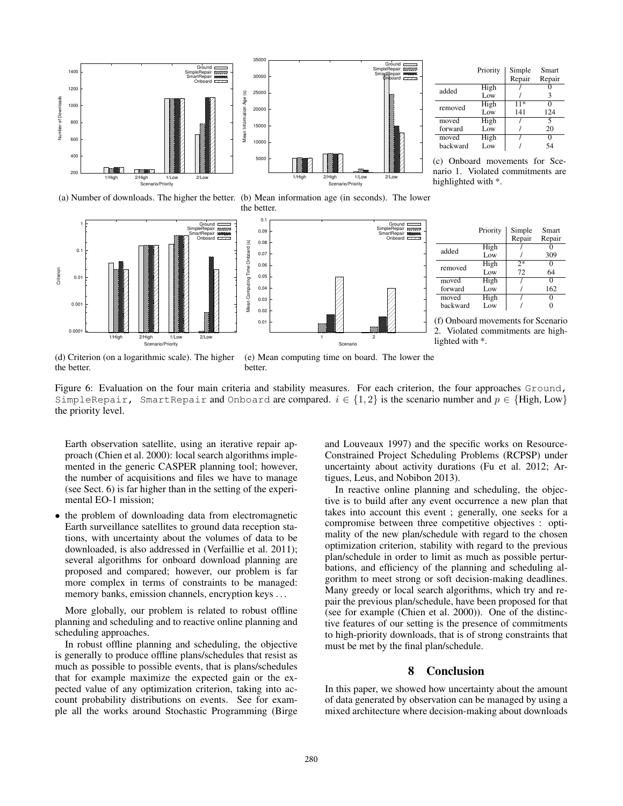

(a) Number of downloads. The higher the better. (b) Mean information age (in seconds). The lower the better.





(c) Onboard movements for Scenario 1. Violated commitments are highlighted with \*.



(f) Onboard movements for Scenario 2. Violated commitments are highlighted with \*.

(d) Criterion (on a logarithmic scale). The higher the better.

(e) Mean computing time on board. The lower the better.

Figure 6: Evaluation on the four main criteria and stability measures. For each criterion, the four approaches Ground, SimpleRepair, SmartRepair and Onboard are compared.  $i \in \{1, 2\}$  is the scenario number and  $p \in \{High, Low\}$ the priority level.

Earth observation satellite, using an iterative repair approach (Chien et al. 2000): local search algorithms implemented in the generic CASPER planning tool; however, the number of acquisitions and files we have to manage (see Sect. 6) is far higher than in the setting of the experimental EO-1 mission;

• the problem of downloading data from electromagnetic Earth surveillance satellites to ground data reception stations, with uncertainty about the volumes of data to be downloaded, is also addressed in (Verfaillie et al. 2011); several algorithms for onboard download planning are proposed and compared; however, our problem is far more complex in terms of constraints to be managed: memory banks, emission channels, encryption keys . . .

More globally, our problem is related to robust offline planning and scheduling and to reactive online planning and scheduling approaches.

In robust offline planning and scheduling, the objective is generally to produce offline plans/schedules that resist as much as possible to possible events, that is plans/schedules that for example maximize the expected gain or the expected value of any optimization criterion, taking into account probability distributions on events. See for example all the works around Stochastic Programming (Birge

and Louveaux 1997) and the specific works on Resource-Constrained Project Scheduling Problems (RCPSP) under uncertainty about activity durations (Fu et al. 2012; Artigues, Leus, and Nobibon 2013).

In reactive online planning and scheduling, the objective is to build after any event occurrence a new plan that takes into account this event ; generally, one seeks for a compromise between three competitive objectives : optimality of the new plan/schedule with regard to the chosen optimization criterion, stability with regard to the previous plan/schedule in order to limit as much as possible perturbations, and efficiency of the planning and scheduling algorithm to meet strong or soft decision-making deadlines. Many greedy or local search algorithms, which try and repair the previous plan/schedule, have been proposed for that (see for example (Chien et al. 2000)). One of the distinctive features of our setting is the presence of commitments to high-priority downloads, that is of strong constraints that must be met by the final plan/schedule.

### 8 Conclusion

In this paper, we showed how uncertainty about the amount of data generated by observation can be managed by using a mixed architecture where decision-making about downloads